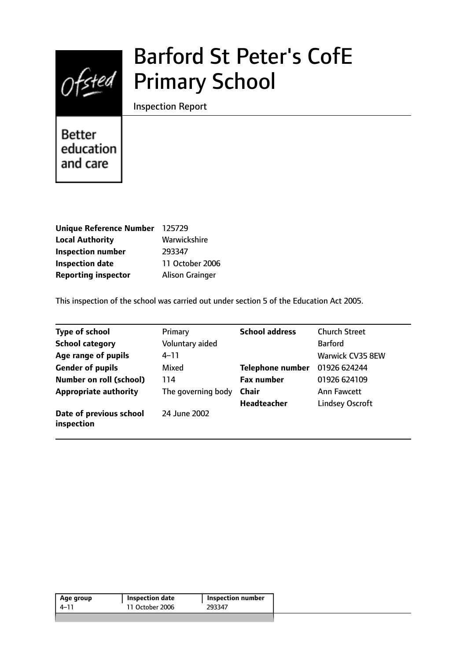

# Barford St Peter's CofE Primary School

Inspection Report

**Better** education and care

| Unique Reference Number 125729 |                        |
|--------------------------------|------------------------|
| <b>Local Authority</b>         | Warwickshire           |
| <b>Inspection number</b>       | 293347                 |
| <b>Inspection date</b>         | 11 October 2006        |
| <b>Reporting inspector</b>     | <b>Alison Grainger</b> |

This inspection of the school was carried out under section 5 of the Education Act 2005.

| <b>Type of school</b>                 | Primary            | <b>School address</b>   | <b>Church Street</b>   |
|---------------------------------------|--------------------|-------------------------|------------------------|
| <b>School category</b>                | Voluntary aided    |                         | <b>Barford</b>         |
| Age range of pupils                   | $4 - 11$           |                         | Warwick CV35 8EW       |
| <b>Gender of pupils</b>               | Mixed              | <b>Telephone number</b> | 01926 624244           |
| <b>Number on roll (school)</b>        | 114                | <b>Fax number</b>       | 01926 624109           |
| <b>Appropriate authority</b>          | The governing body | <b>Chair</b>            | <b>Ann Fawcett</b>     |
|                                       |                    | <b>Headteacher</b>      | <b>Lindsey Oscroft</b> |
| Date of previous school<br>inspection | 24 June 2002       |                         |                        |

| Age group | Inspection date | <b>Inspection number</b> |  |
|-----------|-----------------|--------------------------|--|
| 4-11      | 11 October 2006 | 293347                   |  |
|           |                 |                          |  |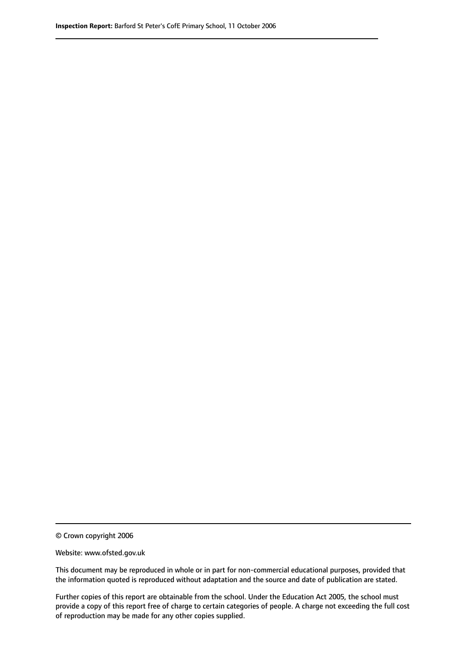© Crown copyright 2006

Website: www.ofsted.gov.uk

This document may be reproduced in whole or in part for non-commercial educational purposes, provided that the information quoted is reproduced without adaptation and the source and date of publication are stated.

Further copies of this report are obtainable from the school. Under the Education Act 2005, the school must provide a copy of this report free of charge to certain categories of people. A charge not exceeding the full cost of reproduction may be made for any other copies supplied.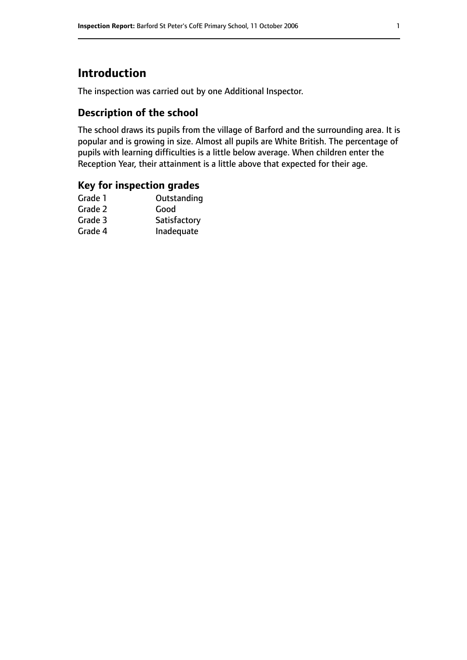# **Introduction**

The inspection was carried out by one Additional Inspector.

# **Description of the school**

The school draws its pupils from the village of Barford and the surrounding area. It is popular and is growing in size. Almost all pupils are White British. The percentage of pupils with learning difficulties is a little below average. When children enter the Reception Year, their attainment is a little above that expected for their age.

### **Key for inspection grades**

| Grade 1 | Outstanding  |
|---------|--------------|
| Grade 2 | Good         |
| Grade 3 | Satisfactory |
| Grade 4 | Inadequate   |
|         |              |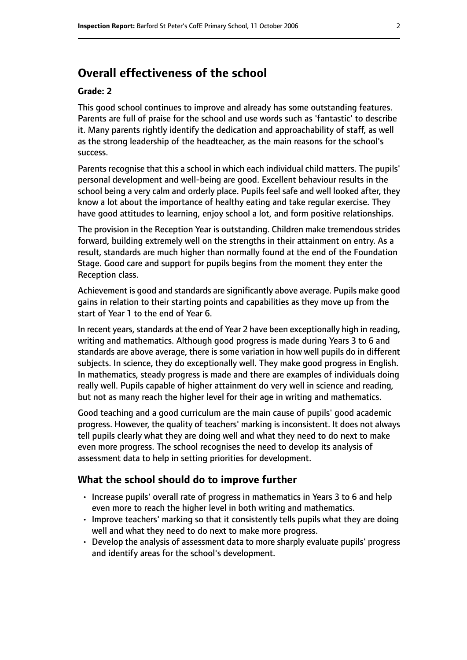# **Overall effectiveness of the school**

#### **Grade: 2**

This good school continues to improve and already has some outstanding features. Parents are full of praise for the school and use words such as 'fantastic' to describe it. Many parents rightly identify the dedication and approachability of staff, as well as the strong leadership of the headteacher, as the main reasons for the school's success.

Parents recognise that this a school in which each individual child matters. The pupils' personal development and well-being are good. Excellent behaviour results in the school being a very calm and orderly place. Pupils feel safe and well looked after, they know a lot about the importance of healthy eating and take regular exercise. They have good attitudes to learning, enjoy school a lot, and form positive relationships.

The provision in the Reception Year is outstanding. Children make tremendous strides forward, building extremely well on the strengths in their attainment on entry. As a result, standards are much higher than normally found at the end of the Foundation Stage. Good care and support for pupils begins from the moment they enter the Reception class.

Achievement is good and standards are significantly above average. Pupils make good gains in relation to their starting points and capabilities as they move up from the start of Year 1 to the end of Year 6.

In recent years, standards at the end of Year 2 have been exceptionally high in reading, writing and mathematics. Although good progress is made during Years 3 to 6 and standards are above average, there is some variation in how well pupils do in different subjects. In science, they do exceptionally well. They make good progress in English. In mathematics, steady progress is made and there are examples of individuals doing really well. Pupils capable of higher attainment do very well in science and reading, but not as many reach the higher level for their age in writing and mathematics.

Good teaching and a good curriculum are the main cause of pupils' good academic progress. However, the quality of teachers' marking is inconsistent. It does not always tell pupils clearly what they are doing well and what they need to do next to make even more progress. The school recognises the need to develop its analysis of assessment data to help in setting priorities for development.

#### **What the school should do to improve further**

- Increase pupils' overall rate of progress in mathematics in Years 3 to 6 and help even more to reach the higher level in both writing and mathematics.
- Improve teachers' marking so that it consistently tells pupils what they are doing well and what they need to do next to make more progress.
- Develop the analysis of assessment data to more sharply evaluate pupils' progress and identify areas for the school's development.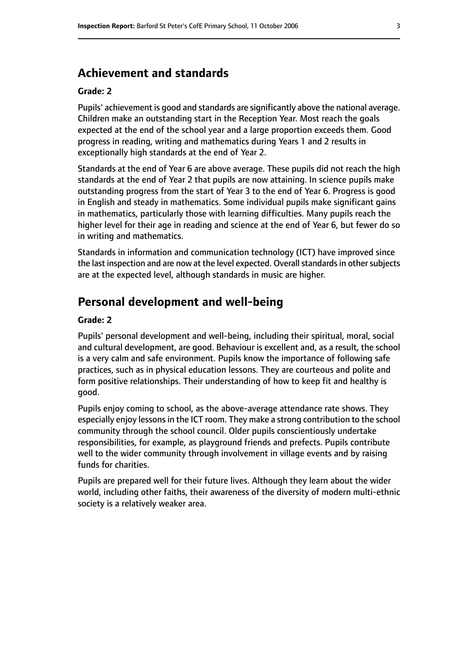## **Achievement and standards**

#### **Grade: 2**

Pupils' achievement is good and standards are significantly above the national average. Children make an outstanding start in the Reception Year. Most reach the goals expected at the end of the school year and a large proportion exceeds them. Good progress in reading, writing and mathematics during Years 1 and 2 results in exceptionally high standards at the end of Year 2.

Standards at the end of Year 6 are above average. These pupils did not reach the high standards at the end of Year 2 that pupils are now attaining. In science pupils make outstanding progress from the start of Year 3 to the end of Year 6. Progress is good in English and steady in mathematics. Some individual pupils make significant gains in mathematics, particularly those with learning difficulties. Many pupils reach the higher level for their age in reading and science at the end of Year 6, but fewer do so in writing and mathematics.

Standards in information and communication technology (ICT) have improved since the last inspection and are now at the level expected. Overall standards in other subjects are at the expected level, although standards in music are higher.

## **Personal development and well-being**

#### **Grade: 2**

Pupils' personal development and well-being, including their spiritual, moral, social and cultural development, are good. Behaviour is excellent and, as a result, the school is a very calm and safe environment. Pupils know the importance of following safe practices, such as in physical education lessons. They are courteous and polite and form positive relationships. Their understanding of how to keep fit and healthy is good.

Pupils enjoy coming to school, as the above-average attendance rate shows. They especially enjoy lessons in the ICT room. They make a strong contribution to the school community through the school council. Older pupils conscientiously undertake responsibilities, for example, as playground friends and prefects. Pupils contribute well to the wider community through involvement in village events and by raising funds for charities.

Pupils are prepared well for their future lives. Although they learn about the wider world, including other faiths, their awareness of the diversity of modern multi-ethnic society is a relatively weaker area.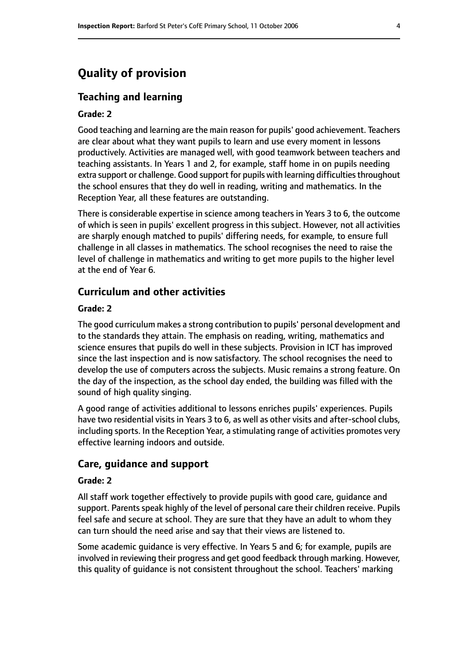# **Quality of provision**

#### **Teaching and learning**

#### **Grade: 2**

Good teaching and learning are the main reason for pupils' good achievement. Teachers are clear about what they want pupils to learn and use every moment in lessons productively. Activities are managed well, with good teamwork between teachers and teaching assistants. In Years 1 and 2, for example, staff home in on pupils needing extra support or challenge. Good support for pupils with learning difficulties throughout the school ensures that they do well in reading, writing and mathematics. In the Reception Year, all these features are outstanding.

There is considerable expertise in science among teachers in Years 3 to 6, the outcome of which is seen in pupils' excellent progress in this subject. However, not all activities are sharply enough matched to pupils' differing needs, for example, to ensure full challenge in all classes in mathematics. The school recognises the need to raise the level of challenge in mathematics and writing to get more pupils to the higher level at the end of Year 6.

#### **Curriculum and other activities**

#### **Grade: 2**

The good curriculum makes a strong contribution to pupils' personal development and to the standards they attain. The emphasis on reading, writing, mathematics and science ensures that pupils do well in these subjects. Provision in ICT has improved since the last inspection and is now satisfactory. The school recognises the need to develop the use of computers across the subjects. Music remains a strong feature. On the day of the inspection, as the school day ended, the building was filled with the sound of high quality singing.

A good range of activities additional to lessons enriches pupils' experiences. Pupils have two residential visits in Years 3 to 6, as well as other visits and after-school clubs, including sports. In the Reception Year, a stimulating range of activities promotes very effective learning indoors and outside.

#### **Care, guidance and support**

#### **Grade: 2**

All staff work together effectively to provide pupils with good care, guidance and support. Parents speak highly of the level of personal care their children receive. Pupils feel safe and secure at school. They are sure that they have an adult to whom they can turn should the need arise and say that their views are listened to.

Some academic guidance is very effective. In Years 5 and 6; for example, pupils are involved in reviewing their progress and get good feedback through marking. However, this quality of guidance is not consistent throughout the school. Teachers' marking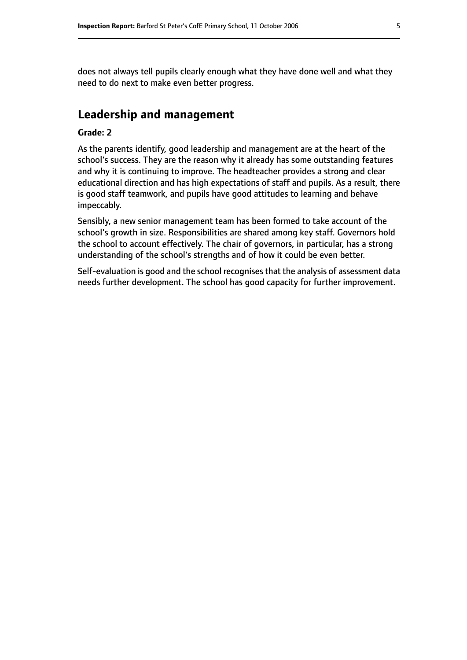does not always tell pupils clearly enough what they have done well and what they need to do next to make even better progress.

# **Leadership and management**

#### **Grade: 2**

As the parents identify, good leadership and management are at the heart of the school's success. They are the reason why it already has some outstanding features and why it is continuing to improve. The headteacher provides a strong and clear educational direction and has high expectations of staff and pupils. As a result, there is good staff teamwork, and pupils have good attitudes to learning and behave impeccably.

Sensibly, a new senior management team has been formed to take account of the school's growth in size. Responsibilities are shared among key staff. Governors hold the school to account effectively. The chair of governors, in particular, has a strong understanding of the school's strengths and of how it could be even better.

Self-evaluation is good and the school recognises that the analysis of assessment data needs further development. The school has good capacity for further improvement.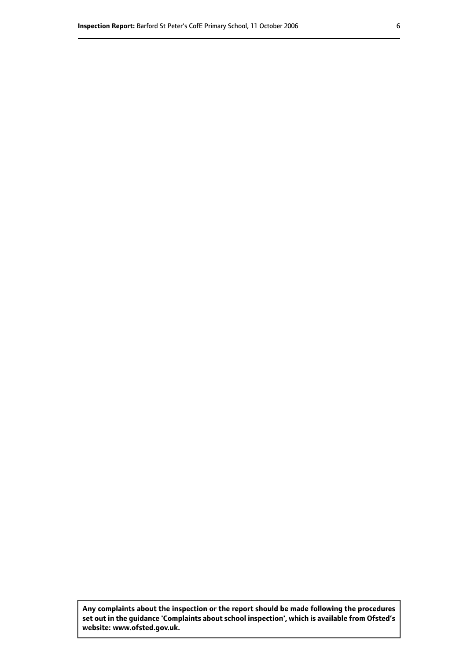**Any complaints about the inspection or the report should be made following the procedures set out inthe guidance 'Complaints about school inspection', whichis available from Ofsted's website: www.ofsted.gov.uk.**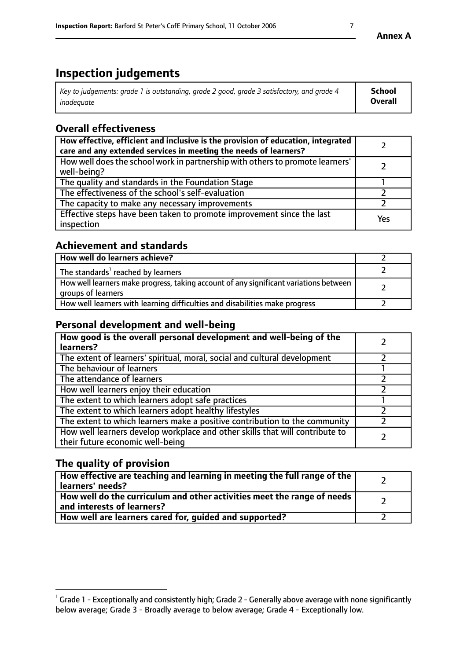# **Inspection judgements**

| Key to judgements: grade 1 is outstanding, grade 2 good, grade 3 satisfactory, and grade 4 | School         |
|--------------------------------------------------------------------------------------------|----------------|
| inadeauate                                                                                 | <b>Overall</b> |

# **Overall effectiveness**

| How effective, efficient and inclusive is the provision of education, integrated<br>care and any extended services in meeting the needs of learners? |     |
|------------------------------------------------------------------------------------------------------------------------------------------------------|-----|
| How well does the school work in partnership with others to promote learners'<br>well-being?                                                         |     |
| The quality and standards in the Foundation Stage                                                                                                    |     |
| The effectiveness of the school's self-evaluation                                                                                                    |     |
| The capacity to make any necessary improvements                                                                                                      |     |
| Effective steps have been taken to promote improvement since the last<br>inspection                                                                  | Yes |

## **Achievement and standards**

| How well do learners achieve?                                                                               |  |
|-------------------------------------------------------------------------------------------------------------|--|
| The standards <sup>1</sup> reached by learners                                                              |  |
| How well learners make progress, taking account of any significant variations between<br>groups of learners |  |
| How well learners with learning difficulties and disabilities make progress                                 |  |

# **Personal development and well-being**

| How good is the overall personal development and well-being of the<br>learners?                                  |  |
|------------------------------------------------------------------------------------------------------------------|--|
| The extent of learners' spiritual, moral, social and cultural development                                        |  |
| The behaviour of learners                                                                                        |  |
| The attendance of learners                                                                                       |  |
| How well learners enjoy their education                                                                          |  |
| The extent to which learners adopt safe practices                                                                |  |
| The extent to which learners adopt healthy lifestyles                                                            |  |
| The extent to which learners make a positive contribution to the community                                       |  |
| How well learners develop workplace and other skills that will contribute to<br>their future economic well-being |  |

# **The quality of provision**

| How effective are teaching and learning in meeting the full range of the<br>  learners' needs?                      |  |
|---------------------------------------------------------------------------------------------------------------------|--|
| $\mid$ How well do the curriculum and other activities meet the range of needs<br>$\mid$ and interests of learners? |  |
| How well are learners cared for, guided and supported?                                                              |  |

 $^1$  Grade 1 - Exceptionally and consistently high; Grade 2 - Generally above average with none significantly below average; Grade 3 - Broadly average to below average; Grade 4 - Exceptionally low.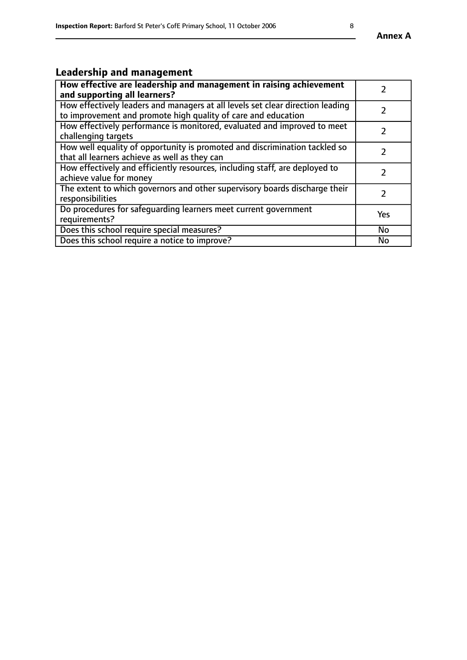# **Leadership and management**

| How effective are leadership and management in raising achievement<br>and supporting all learners?                                              |               |
|-------------------------------------------------------------------------------------------------------------------------------------------------|---------------|
| How effectively leaders and managers at all levels set clear direction leading<br>to improvement and promote high quality of care and education |               |
| How effectively performance is monitored, evaluated and improved to meet<br>challenging targets                                                 | $\mathcal{L}$ |
| How well equality of opportunity is promoted and discrimination tackled so<br>that all learners achieve as well as they can                     |               |
| How effectively and efficiently resources, including staff, are deployed to<br>achieve value for money                                          | $\mathcal{P}$ |
| The extent to which governors and other supervisory boards discharge their<br>responsibilities                                                  |               |
| Do procedures for safequarding learners meet current government<br>requirements?                                                                | Yes           |
| Does this school require special measures?                                                                                                      | No            |
| Does this school require a notice to improve?                                                                                                   | <b>No</b>     |